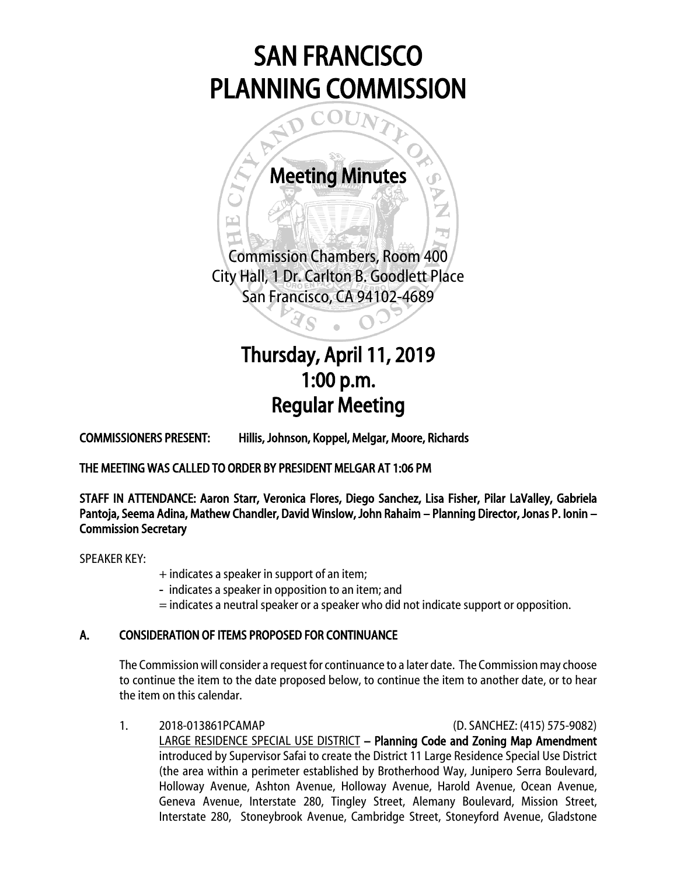# SAN FRANCISCO PLANNING COMMISSION

Meeting Minutes

مية.<br>المنا

I

Commission Chambers, Room 400 City Hall, 1 Dr. Carlton B. Goodlett Place San Francisco, CA 94102-4689

Ï

# $\overline{\phantom{a}}$ Thursday, April 11, 2019 1:00 p.m. Regular Meeting

COMMISSIONERS PRESENT: Hillis, Johnson, Koppel, Melgar, Moore, Richards

THE MEETING WAS CALLED TO ORDER BY PRESIDENT MELGAR AT 1:06 PM

STAFF IN ATTENDANCE: Aaron Starr, Veronica Flores, Diego Sanchez, Lisa Fisher, Pilar LaValley, Gabriela Pantoja, Seema Adina, Mathew Chandler, David Winslow, John Rahaim – Planning Director, Jonas P. Ionin – Commission Secretary

SPEAKER KEY:

- + indicates a speaker in support of an item;
- indicates a speaker in opposition to an item; and
- = indicates a neutral speaker or a speaker who did not indicate support or opposition.

### A. CONSIDERATION OF ITEMS PROPOSED FOR CONTINUANCE

The Commission will consider a request for continuance to a later date. The Commission may choose to continue the item to the date proposed below, to continue the item to another date, or to hear the item on this calendar.

1. 2018-013861PCAMAP (D. SANCHEZ: (415) 575-9082) LARGE RESIDENCE SPECIAL USE DISTRICT – Planning Code and Zoning Map Amendment introduced by Supervisor Safai to create the District 11 Large Residence Special Use District (the area within a perimeter established by Brotherhood Way, Junipero Serra Boulevard, Holloway Avenue, Ashton Avenue, Holloway Avenue, Harold Avenue, Ocean Avenue, Geneva Avenue, Interstate 280, Tingley Street, Alemany Boulevard, Mission Street, Interstate 280, Stoneybrook Avenue, Cambridge Street, Stoneyford Avenue, Gladstone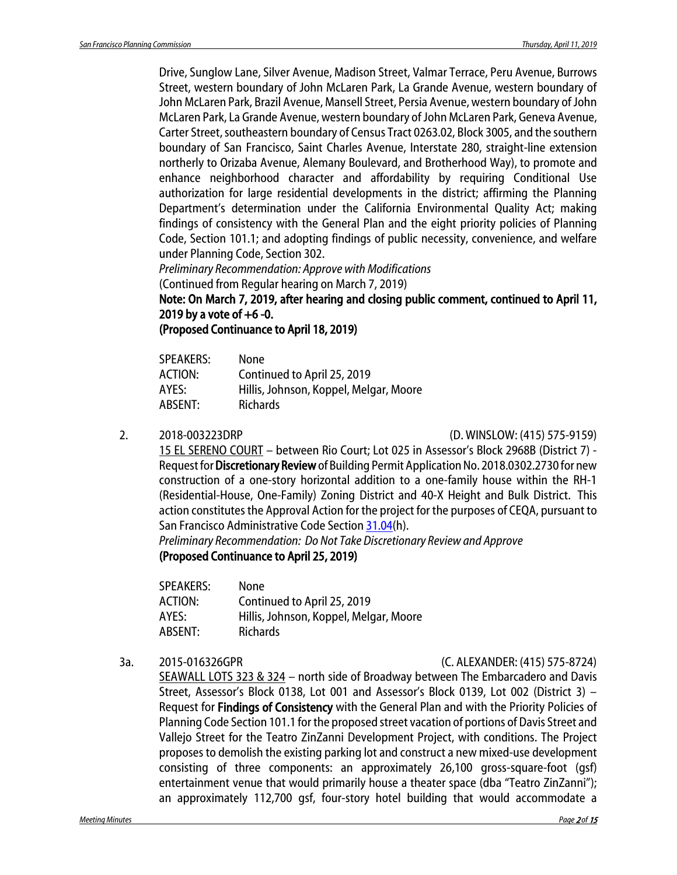Drive, Sunglow Lane, Silver Avenue, Madison Street, Valmar Terrace, Peru Avenue, Burrows Street, western boundary of John McLaren Park, La Grande Avenue, western boundary of John McLaren Park, Brazil Avenue, Mansell Street, Persia Avenue, western boundary of John McLaren Park, La Grande Avenue, western boundary of John McLaren Park, Geneva Avenue, Carter Street, southeastern boundary of Census Tract 0263.02, Block 3005, and the southern boundary of San Francisco, Saint Charles Avenue, Interstate 280, straight-line extension northerly to Orizaba Avenue, Alemany Boulevard, and Brotherhood Way), to promote and enhance neighborhood character and affordability by requiring Conditional Use authorization for large residential developments in the district; affirming the Planning Department's determination under the California Environmental Quality Act; making findings of consistency with the General Plan and the eight priority policies of Planning Code, Section 101.1; and adopting findings of public necessity, convenience, and welfare under Planning Code, Section 302.

*Preliminary Recommendation: Approve with Modifications* 

(Continued from Regular hearing on March 7, 2019)

Note: On March 7, 2019, after hearing and closing public comment, continued to April 11, 2019 by a vote of  $+6 -0$ .

(Proposed Continuance to April 18, 2019)

| <b>SPEAKERS:</b> | <b>None</b>                            |
|------------------|----------------------------------------|
| ACTION:          | Continued to April 25, 2019            |
| AYES:            | Hillis, Johnson, Koppel, Melgar, Moore |
| ABSENT:          | <b>Richards</b>                        |
|                  |                                        |

2. 2018-003223DRP (D. WINSLOW: (415) 575-9159)

15 EL SERENO COURT – between Rio Court; Lot 025 in Assessor's Block 2968B (District 7) - Request for Discretionary Reviewof Building Permit Application No. 2018.0302.2730 for new construction of a one-story horizontal addition to a one-family house within the RH-1 (Residential-House, One-Family) Zoning District and 40-X Height and Bulk District. This action constitutes the Approval Action for the project for the purposes of CEQA, pursuant to San Francisco Administrative Code Sectio[n 31.04\(](http://library.amlegal.com/nxt/gateway.dll/California/administrative/chapter31californiaenvironmentalqualitya?f=templates$fn=default.htm$3.0$vid=amlegal:sanfrancisco_ca$anc=JD_31.04)h).

*Preliminary Recommendation: Do Not Take Discretionary Review and Approve* (Proposed Continuance to April 25, 2019)

SPEAKERS: None ACTION: Continued to April 25, 2019 AYES: Hillis, Johnson, Koppel, Melgar, Moore ABSENT: Richards

### 3a. 2015-016326GPR (C. ALEXANDER: (415) 575-8724)

SEAWALL LOTS 323 & 324 – north side of Broadway between The Embarcadero and Davis Street, Assessor's Block 0138, Lot 001 and Assessor's Block 0139, Lot 002 (District 3) – Request for Findings of Consistency with the General Plan and with the Priority Policies of Planning Code Section 101.1 for the proposed street vacation of portions of Davis Street and Vallejo Street for the Teatro ZinZanni Development Project, with conditions. The Project proposes to demolish the existing parking lot and construct a new mixed-use development consisting of three components: an approximately 26,100 gross-square-foot (gsf) entertainment venue that would primarily house a theater space (dba "Teatro ZinZanni"); an approximately 112,700 gsf, four-story hotel building that would accommodate a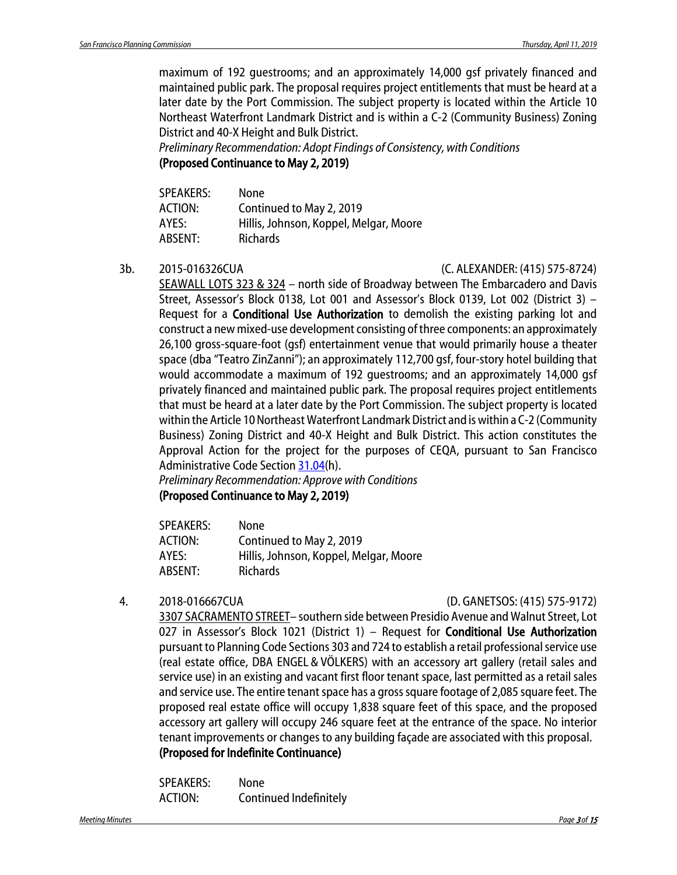maximum of 192 guestrooms; and an approximately 14,000 gsf privately financed and maintained public park. The proposal requires project entitlements that must be heard at a later date by the Port Commission. The subject property is located within the Article 10 Northeast Waterfront Landmark District and is within a C-2 (Community Business) Zoning District and 40-X Height and Bulk District.

*Preliminary Recommendation: Adopt Findings of Consistency, with Conditions* (Proposed Continuance to May 2, 2019)

| None                                   |
|----------------------------------------|
| Continued to May 2, 2019               |
| Hillis, Johnson, Koppel, Melgar, Moore |
| <b>Richards</b>                        |
|                                        |

3b. 2015-016326CUA (C. ALEXANDER: (415) 575-8724)

SEAWALL LOTS 323 & 324 – north side of Broadway between The Embarcadero and Davis Street, Assessor's Block 0138, Lot 001 and Assessor's Block 0139, Lot 002 (District 3) – Request for a Conditional Use Authorization to demolish the existing parking lot and construct a new mixed-use development consisting of three components: an approximately 26,100 gross-square-foot (gsf) entertainment venue that would primarily house a theater space (dba "Teatro ZinZanni"); an approximately 112,700 gsf, four-story hotel building that would accommodate a maximum of 192 guestrooms; and an approximately 14,000 gsf privately financed and maintained public park. The proposal requires project entitlements that must be heard at a later date by the Port Commission. The subject property is located within the Article 10 Northeast Waterfront Landmark District and is within a C-2 (Community Business) Zoning District and 40-X Height and Bulk District. This action constitutes the Approval Action for the project for the purposes of CEQA, pursuant to San Francisco Administrative Code Section [31.04\(](http://library.amlegal.com/nxt/gateway.dll/California/administrative/chapter31californiaenvironmentalqualitya?f=templates$fn=default.htm$3.0$vid=amlegal:sanfrancisco_ca$anc=JD_31.04)h).

*Preliminary Recommendation: Approve with Conditions* (Proposed Continuance to May 2, 2019)

| <b>SPEAKERS:</b> | None                                   |
|------------------|----------------------------------------|
| ACTION:          | Continued to May 2, 2019               |
| AYES:            | Hillis, Johnson, Koppel, Melgar, Moore |
| ABSENT:          | Richards                               |

### 4. 2018-016667CUA (D. GANETSOS: (415) 575-9172)

3307 SACRAMENTO STREET– southern side between Presidio Avenue and Walnut Street, Lot 027 in Assessor's Block 1021 (District 1) - Request for **Conditional Use Authorization** pursuant to Planning Code Sections 303 and 724 to establish a retail professional service use (real estate office, DBA ENGEL & VÖLKERS) with an accessory art gallery (retail sales and service use) in an existing and vacant first floor tenant space, last permitted as a retail sales and service use. The entire tenant space has a gross square footage of 2,085 square feet. The proposed real estate office will occupy 1,838 square feet of this space, and the proposed accessory art gallery will occupy 246 square feet at the entrance of the space. No interior tenant improvements or changes to any building façade are associated with this proposal. (Proposed for Indefinite Continuance)

SPEAKERS: None ACTION: Continued Indefinitely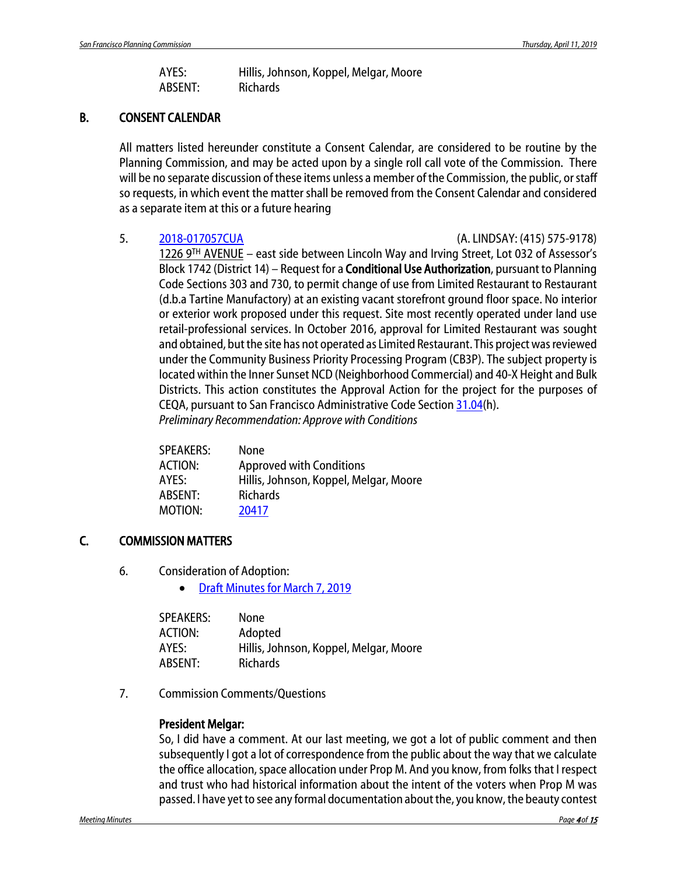AYES: Hillis, Johnson, Koppel, Melgar, Moore ABSENT: Richards

### B. CONSENT CALENDAR

All matters listed hereunder constitute a Consent Calendar, are considered to be routine by the Planning Commission, and may be acted upon by a single roll call vote of the Commission. There will be no separate discussion of these items unless a member of the Commission, the public, or staff so requests, in which event the matter shall be removed from the Consent Calendar and considered as a separate item at this or a future hearing

5. [2018-017057CUA](http://commissions.sfplanning.org/cpcpackets/2018-017057CUA.pdf) (A. LINDSAY: (415) 575-9178)

1226 9TH AVENUE – east side between Lincoln Way and Irving Street, Lot 032 of Assessor's Block 1742 (District 14) – Request for a **Conditional Use Authorization**, pursuant to Planning Code Sections 303 and 730, to permit change of use from Limited Restaurant to Restaurant (d.b.a Tartine Manufactory) at an existing vacant storefront ground floor space. No interior or exterior work proposed under this request. Site most recently operated under land use retail-professional services. In October 2016, approval for Limited Restaurant was sought and obtained, but the site has not operated as Limited Restaurant. This project was reviewed under the Community Business Priority Processing Program (CB3P). The subject property is located within the Inner Sunset NCD (Neighborhood Commercial) and 40-X Height and Bulk Districts. This action constitutes the Approval Action for the project for the purposes of CEQA, pursuant to San Francisco Administrative Code Section [31.04\(](http://library.amlegal.com/nxt/gateway.dll/California/administrative/chapter31californiaenvironmentalqualitya?f=templates$fn=default.htm$3.0$vid=amlegal:sanfrancisco_ca$anc=JD_31.04)h). *Preliminary Recommendation: Approve with Conditions*

| <b>SPEAKERS:</b> | None                                   |
|------------------|----------------------------------------|
| <b>ACTION:</b>   | <b>Approved with Conditions</b>        |
| AYES:            | Hillis, Johnson, Koppel, Melgar, Moore |
| ABSENT:          | <b>Richards</b>                        |
| MOTION:          | 20417                                  |
|                  |                                        |

### C. COMMISSION MATTERS

- 6. Consideration of Adoption:
	- [Draft Minutes for March 7, 2019](http://commissions.sfplanning.org/cpcpackets/20190307_cal_min.pdf)

| <b>SPEAKERS:</b> | None                                   |
|------------------|----------------------------------------|
| ACTION:          | Adopted                                |
| AYES:            | Hillis, Johnson, Koppel, Melgar, Moore |
| ABSENT:          | <b>Richards</b>                        |

7. Commission Comments/Questions

### President Melgar:

So, I did have a comment. At our last meeting, we got a lot of public comment and then subsequently I got a lot of correspondence from the public about the way that we calculate the office allocation, space allocation under Prop M. And you know, from folks that I respect and trust who had historical information about the intent of the voters when Prop M was passed. I have yet to see any formal documentation about the, you know, the beauty contest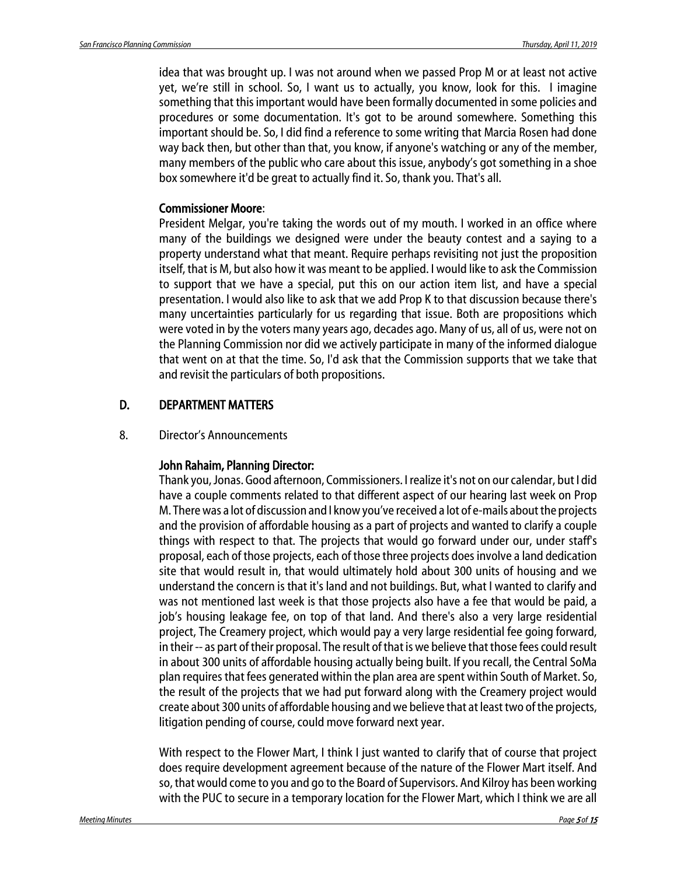idea that was brought up. I was not around when we passed Prop M or at least not active yet, we're still in school. So, I want us to actually, you know, look for this. I imagine something that this important would have been formally documented in some policies and procedures or some documentation. It's got to be around somewhere. Something this important should be. So, I did find a reference to some writing that Marcia Rosen had done way back then, but other than that, you know, if anyone's watching or any of the member, many members of the public who care about this issue, anybody's got something in a shoe box somewhere it'd be great to actually find it. So, thank you. That's all.

### Commissioner Moore:

President Melgar, you're taking the words out of my mouth. I worked in an office where many of the buildings we designed were under the beauty contest and a saying to a property understand what that meant. Require perhaps revisiting not just the proposition itself, that is M, but also how it was meant to be applied. I would like to ask the Commission to support that we have a special, put this on our action item list, and have a special presentation. I would also like to ask that we add Prop K to that discussion because there's many uncertainties particularly for us regarding that issue. Both are propositions which were voted in by the voters many years ago, decades ago. Many of us, all of us, were not on the Planning Commission nor did we actively participate in many of the informed dialogue that went on at that the time. So, I'd ask that the Commission supports that we take that and revisit the particulars of both propositions.

### D. DEPARTMENT MATTERS

8. Director's Announcements

### John Rahaim, Planning Director:

Thank you, Jonas. Good afternoon, Commissioners. I realize it's not on our calendar, but I did have a couple comments related to that different aspect of our hearing last week on Prop M. There was a lot of discussion and I know you've received a lot of e-mails about the projects and the provision of affordable housing as a part of projects and wanted to clarify a couple things with respect to that. The projects that would go forward under our, under staff's proposal, each of those projects, each of those three projects does involve a land dedication site that would result in, that would ultimately hold about 300 units of housing and we understand the concern is that it's land and not buildings. But, what I wanted to clarify and was not mentioned last week is that those projects also have a fee that would be paid, a job's housing leakage fee, on top of that land. And there's also a very large residential project, The Creamery project, which would pay a very large residential fee going forward, in their -- as part of their proposal. The result of that is we believe that those fees could result in about 300 units of affordable housing actually being built. If you recall, the Central SoMa plan requires that fees generated within the plan area are spent within South of Market. So, the result of the projects that we had put forward along with the Creamery project would create about 300 units of affordable housing and we believe that at least two of the projects, litigation pending of course, could move forward next year.

With respect to the Flower Mart, I think I just wanted to clarify that of course that project does require development agreement because of the nature of the Flower Mart itself. And so, that would come to you and go to the Board of Supervisors. And Kilroy has been working with the PUC to secure in a temporary location for the Flower Mart, which I think we are all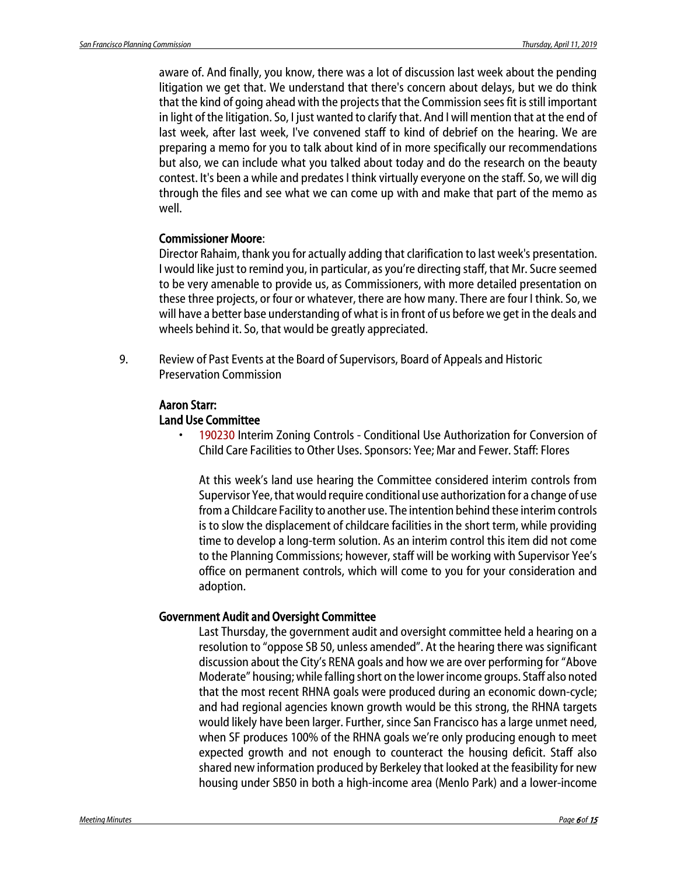aware of. And finally, you know, there was a lot of discussion last week about the pending litigation we get that. We understand that there's concern about delays, but we do think that the kind of going ahead with the projects that the Commission sees fit is still important in light of the litigation. So, I just wanted to clarify that. And I will mention that at the end of last week, after last week, I've convened staff to kind of debrief on the hearing. We are preparing a memo for you to talk about kind of in more specifically our recommendations but also, we can include what you talked about today and do the research on the beauty contest. It's been a while and predates I think virtually everyone on the staff. So, we will dig through the files and see what we can come up with and make that part of the memo as well.

#### Commissioner Moore:

Director Rahaim, thank you for actually adding that clarification to last week's presentation. I would like just to remind you, in particular, as you're directing staff, that Mr. Sucre seemed to be very amenable to provide us, as Commissioners, with more detailed presentation on these three projects, or four or whatever, there are how many. There are four I think. So, we will have a better base understanding of what is in front of us before we get in the deals and wheels behind it. So, that would be greatly appreciated.

9. Review of Past Events at the Board of Supervisors, Board of Appeals and Historic Preservation Commission

## Aaron Starr:

#### Land Use Committee

• 190230 Interim Zoning Controls - Conditional Use Authorization for Conversion of Child Care Facilities to Other Uses. Sponsors: Yee; Mar and Fewer. Staff: Flores

At this week's land use hearing the Committee considered interim controls from Supervisor Yee, that would require conditional use authorization for a change of use from a Childcare Facility to another use. The intention behind these interim controls is to slow the displacement of childcare facilities in the short term, while providing time to develop a long-term solution. As an interim control this item did not come to the Planning Commissions; however, staff will be working with Supervisor Yee's office on permanent controls, which will come to you for your consideration and adoption.

### Government Audit and Oversight Committee

Last Thursday, the government audit and oversight committee held a hearing on a resolution to "oppose SB 50, unless amended". At the hearing there was significant discussion about the City's RENA goals and how we are over performing for "Above Moderate" housing; while falling short on the lower income groups. Staff also noted that the most recent RHNA goals were produced during an economic down-cycle; and had regional agencies known growth would be this strong, the RHNA targets would likely have been larger. Further, since San Francisco has a large unmet need, when SF produces 100% of the RHNA goals we're only producing enough to meet expected growth and not enough to counteract the housing deficit. Staff also shared new information produced by Berkeley that looked at the feasibility for new housing under SB50 in both a high-income area (Menlo Park) and a lower-income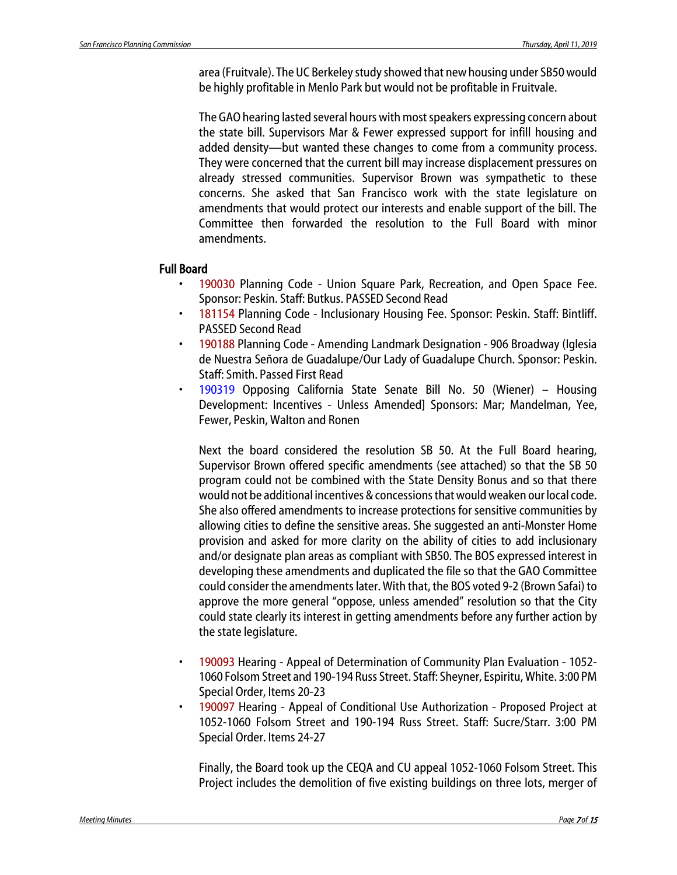area (Fruitvale). The UC Berkeley study showed that new housing under SB50 would be highly profitable in Menlo Park but would not be profitable in Fruitvale.

The GAO hearing lasted several hours with most speakers expressing concern about the state bill. Supervisors Mar & Fewer expressed support for infill housing and added density—but wanted these changes to come from a community process. They were concerned that the current bill may increase displacement pressures on already stressed communities. Supervisor Brown was sympathetic to these concerns. She asked that San Francisco work with the state legislature on amendments that would protect our interests and enable support of the bill. The Committee then forwarded the resolution to the Full Board with minor amendments.

### Full Board

- 190030 Planning Code Union Square Park, Recreation, and Open Space Fee. Sponsor: Peskin. Staff: Butkus. PASSED Second Read
- 181154 Planning Code Inclusionary Housing Fee. Sponsor: Peskin. Staff: Bintliff. PASSED Second Read
- 190188 Planning Code Amending Landmark Designation 906 Broadway (Iglesia de Nuestra Señora de Guadalupe/Our Lady of Guadalupe Church. Sponsor: Peskin. Staff: Smith. Passed First Read
- 190319 Opposing California State Senate Bill No. 50 (Wiener) Housing Development: Incentives - Unless Amended] Sponsors: Mar; Mandelman, Yee, Fewer, Peskin, Walton and Ronen

Next the board considered the resolution SB 50. At the Full Board hearing, Supervisor Brown offered specific amendments (see attached) so that the SB 50 program could not be combined with the State Density Bonus and so that there would not be additional incentives & concessions that would weaken our localcode. She also offered amendments to increase protections for sensitive communities by allowing cities to define the sensitive areas. She suggested an anti-Monster Home provision and asked for more clarity on the ability of cities to add inclusionary and/or designate plan areas as compliant with SB50. The BOS expressed interest in developing these amendments and duplicated the file so that the GAO Committee could consider the amendments later. With that, the BOS voted 9-2 (Brown Safai) to approve the more general "oppose, unless amended" resolution so that the City could state clearly its interest in getting amendments before any further action by the state legislature.

- 190093 Hearing Appeal of Determination of Community Plan Evaluation 1052- 1060 Folsom Street and 190-194 Russ Street. Staff: Sheyner, Espiritu, White. 3:00 PM Special Order, Items 20-23
- 190097 Hearing Appeal of Conditional Use Authorization Proposed Project at 1052-1060 Folsom Street and 190-194 Russ Street. Staff: Sucre/Starr. 3:00 PM Special Order. Items 24-27

Finally, the Board took up the CEQA and CU appeal 1052-1060 Folsom Street. This Project includes the demolition of five existing buildings on three lots, merger of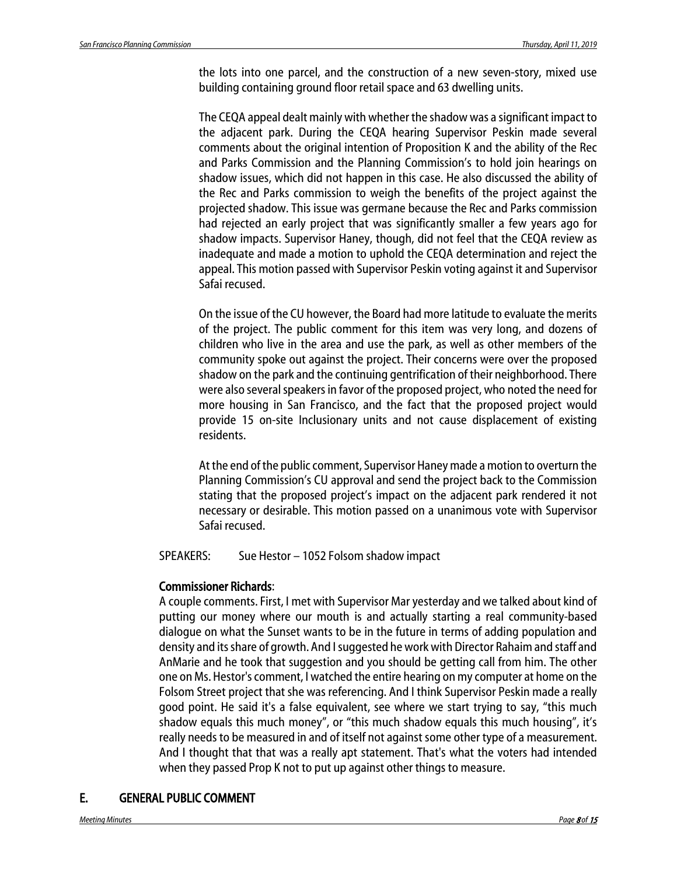the lots into one parcel, and the construction of a new seven-story, mixed use building containing ground floor retail space and 63 dwelling units.

The CEQA appeal dealt mainly with whether the shadow was a significant impact to the adjacent park. During the CEQA hearing Supervisor Peskin made several comments about the original intention of Proposition K and the ability of the Rec and Parks Commission and the Planning Commission's to hold join hearings on shadow issues, which did not happen in this case. He also discussed the ability of the Rec and Parks commission to weigh the benefits of the project against the projected shadow. This issue was germane because the Rec and Parks commission had rejected an early project that was significantly smaller a few years ago for shadow impacts. Supervisor Haney, though, did not feel that the CEQA review as inadequate and made a motion to uphold the CEQA determination and reject the appeal. This motion passed with Supervisor Peskin voting against it and Supervisor Safai recused.

On the issue of the CU however, the Board had more latitude to evaluate the merits of the project. The public comment for this item was very long, and dozens of children who live in the area and use the park, as well as other members of the community spoke out against the project. Their concerns were over the proposed shadow on the park and the continuing gentrification of their neighborhood. There were also several speakers in favor of the proposed project, who noted the need for more housing in San Francisco, and the fact that the proposed project would provide 15 on-site Inclusionary units and not cause displacement of existing residents.

At the end of the public comment, Supervisor Haney made a motion to overturn the Planning Commission's CU approval and send the project back to the Commission stating that the proposed project's impact on the adjacent park rendered it not necessary or desirable. This motion passed on a unanimous vote with Supervisor Safai recused.

SPEAKERS: Sue Hestor – 1052 Folsom shadow impact

### Commissioner Richards:

A couple comments. First, I met with Supervisor Mar yesterday and we talked about kind of putting our money where our mouth is and actually starting a real community-based dialogue on what the Sunset wants to be in the future in terms of adding population and density and its share of growth. And I suggested he work with Director Rahaim and staff and AnMarie and he took that suggestion and you should be getting call from him. The other one on Ms. Hestor's comment, I watched the entire hearing on my computer at home on the Folsom Street project that she was referencing. And I think Supervisor Peskin made a really good point. He said it's a false equivalent, see where we start trying to say, "this much shadow equals this much money", or "this much shadow equals this much housing", it's really needs to be measured in and of itself not against some other type of a measurement. And I thought that that was a really apt statement. That's what the voters had intended when they passed Prop K not to put up against other things to measure.

### E. GENERAL PUBLIC COMMENT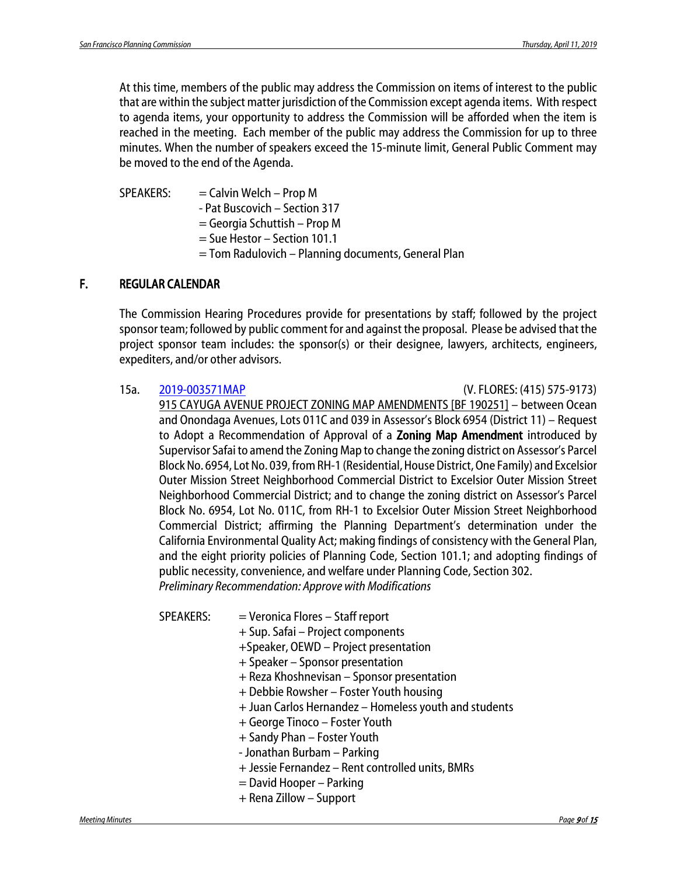At this time, members of the public may address the Commission on items of interest to the public that are within the subject matter jurisdiction of the Commission except agenda items. With respect to agenda items, your opportunity to address the Commission will be afforded when the item is reached in the meeting. Each member of the public may address the Commission for up to three minutes. When the number of speakers exceed the 15-minute limit, General Public Comment may be moved to the end of the Agenda.

 $SPEAKERS: =$ Calvin Welch – Prop M - Pat Buscovich – Section 317

- = Georgia Schuttish Prop M
- = Sue Hestor Section 101.1
- = Tom Radulovich Planning documents, General Plan

### F. REGULAR CALENDAR

The Commission Hearing Procedures provide for presentations by staff; followed by the project sponsor team; followed by public comment for and against the proposal. Please be advised that the project sponsor team includes: the sponsor(s) or their designee, lawyers, architects, engineers, expediters, and/or other advisors.

15a. [2019-003571MAP](http://commissions.sfplanning.org/cpcpackets/2016-013850CUA.pdf) (V. FLORES: (415) 575-9173)

915 CAYUGA AVENUE PROJECT ZONING MAP AMENDMENTS [BF 190251] – between Ocean and Onondaga Avenues, Lots 011C and 039 in Assessor's Block 6954 (District 11) – Request to Adopt a Recommendation of Approval of a Zoning Map Amendment introduced by Supervisor Safai to amend the Zoning Map to change the zoning district on Assessor's Parcel Block No. 6954, Lot No. 039, from RH-1 (Residential, House District, One Family) and Excelsior Outer Mission Street Neighborhood Commercial District to Excelsior Outer Mission Street Neighborhood Commercial District; and to change the zoning district on Assessor's Parcel Block No. 6954, Lot No. 011C, from RH-1 to Excelsior Outer Mission Street Neighborhood Commercial District; affirming the Planning Department's determination under the California Environmental Quality Act; making findings of consistency with the General Plan, and the eight priority policies of Planning Code, Section 101.1; and adopting findings of public necessity, convenience, and welfare under Planning Code, Section 302. *Preliminary Recommendation: Approve with Modifications*

SPEAKERS: = Veronica Flores - Staff report

- + Sup. Safai Project components
- +Speaker, OEWD Project presentation
- + Speaker Sponsor presentation
- + Reza Khoshnevisan Sponsor presentation
- + Debbie Rowsher Foster Youth housing
- + Juan Carlos Hernandez Homeless youth and students
- + George Tinoco Foster Youth
- + Sandy Phan Foster Youth
- Jonathan Burbam Parking
- + Jessie Fernandez Rent controlled units, BMRs
- = David Hooper Parking
- + Rena Zillow Support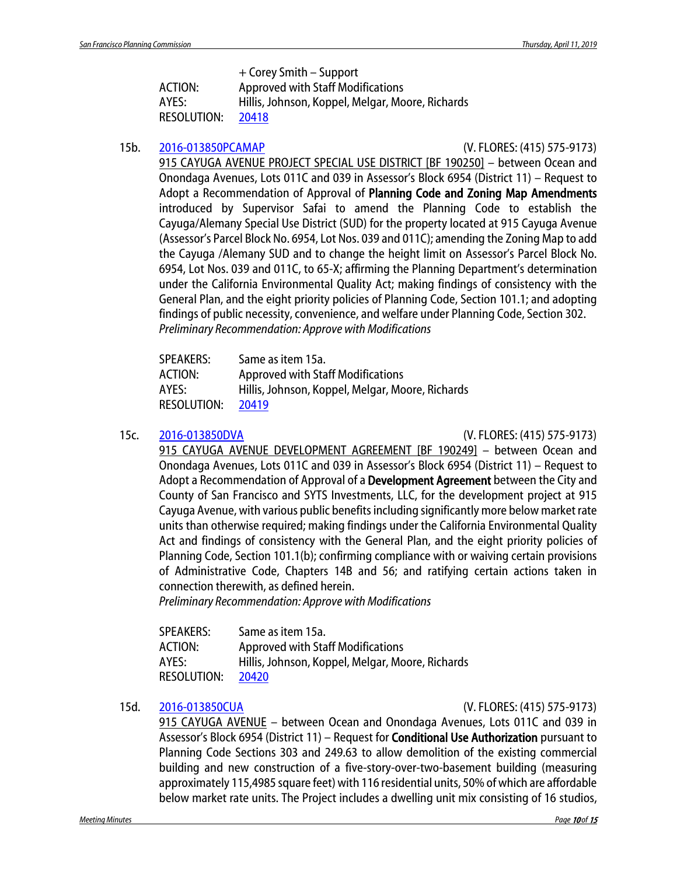+ Corey Smith – Support

| <b>ACTION:</b>     | <b>Approved with Staff Modifications</b>         |
|--------------------|--------------------------------------------------|
| AYES:              | Hillis, Johnson, Koppel, Melgar, Moore, Richards |
| <b>RESOLUTION:</b> | 20418                                            |

### 15b. [2016-013850PCAMAP](http://commissions.sfplanning.org/cpcpackets/2016-013850CUA.pdf) (V. FLORES: (415) 575-9173)

915 CAYUGA AVENUE PROJECT SPECIAL USE DISTRICT [BF 190250] – between Ocean and Onondaga Avenues, Lots 011C and 039 in Assessor's Block 6954 (District 11) – Request to Adopt a Recommendation of Approval of Planning Code and Zoning Map Amendments introduced by Supervisor Safai to amend the Planning Code to establish the Cayuga/Alemany Special Use District (SUD) for the property located at 915 Cayuga Avenue (Assessor's Parcel Block No. 6954, Lot Nos. 039 and 011C); amending the Zoning Map to add the Cayuga /Alemany SUD and to change the height limit on Assessor's Parcel Block No. 6954, Lot Nos. 039 and 011C, to 65-X; affirming the Planning Department's determination under the California Environmental Quality Act; making findings of consistency with the General Plan, and the eight priority policies of Planning Code, Section 101.1; and adopting findings of public necessity, convenience, and welfare under Planning Code, Section 302. *Preliminary Recommendation: Approve with Modifications*

| <b>SPEAKERS:</b>   | Same as item 15a.                                |
|--------------------|--------------------------------------------------|
| ACTION:            | <b>Approved with Staff Modifications</b>         |
| AYES:              | Hillis, Johnson, Koppel, Melgar, Moore, Richards |
| <b>RESOLUTION:</b> | 20419                                            |

15c. [2016-013850DVA](http://commissions.sfplanning.org/cpcpackets/2016-013850CUA.pdf) (V. FLORES: (415) 575-9173)

915 CAYUGA AVENUE DEVELOPMENT AGREEMENT [BF 190249] – between Ocean and Onondaga Avenues, Lots 011C and 039 in Assessor's Block 6954 (District 11) – Request to Adopt a Recommendation of Approval of a Development Agreement between the City and County of San Francisco and SYTS Investments, LLC, for the development project at 915 Cayuga Avenue, with various public benefits including significantly more below market rate units than otherwise required; making findings under the California Environmental Quality Act and findings of consistency with the General Plan, and the eight priority policies of Planning Code, Section 101.1(b); confirming compliance with or waiving certain provisions of Administrative Code, Chapters 14B and 56; and ratifying certain actions taken in connection therewith, as defined herein.

*Preliminary Recommendation: Approve with Modifications*

| <b>SPEAKERS:</b>   | Same as item 15a.                                |
|--------------------|--------------------------------------------------|
| ACTION:            | <b>Approved with Staff Modifications</b>         |
| AYES:              | Hillis, Johnson, Koppel, Melgar, Moore, Richards |
| <b>RESOLUTION:</b> | 20420                                            |

15d. [2016-013850CUA](http://commissions.sfplanning.org/cpcpackets/2016-013850CUA.pdf) (V. FLORES: (415) 575-9173)

915 CAYUGA AVENUE – between Ocean and Onondaga Avenues, Lots 011C and 039 in Assessor's Block 6954 (District 11) – Request for **Conditional Use Authorization** pursuant to Planning Code Sections 303 and 249.63 to allow demolition of the existing commercial building and new construction of a five-story-over-two-basement building (measuring approximately 115,4985 square feet) with 116 residential units, 50% of which are affordable below market rate units. The Project includes a dwelling unit mix consisting of 16 studios,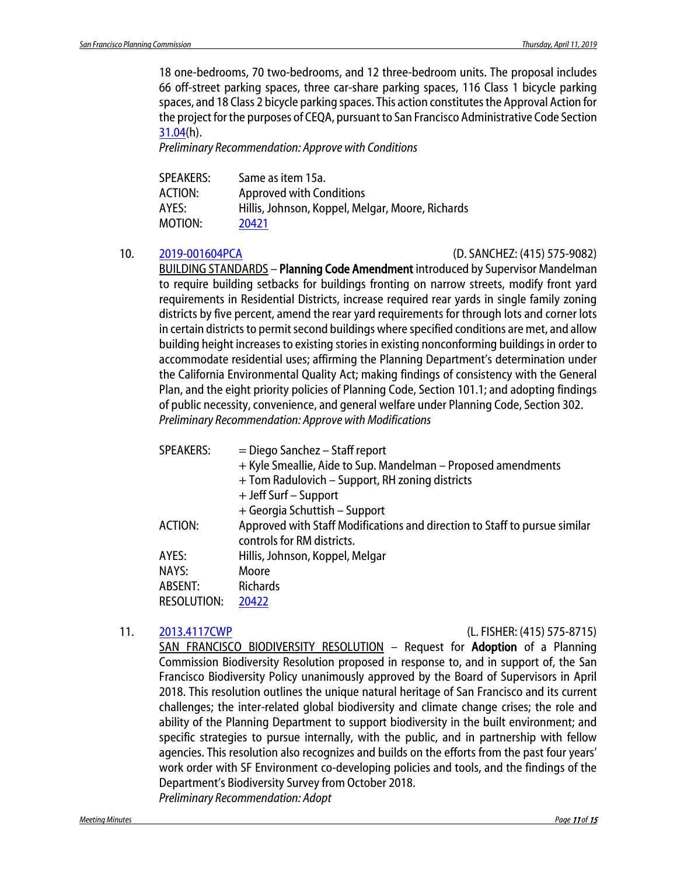18 one-bedrooms, 70 two-bedrooms, and 12 three-bedroom units. The proposal includes 66 off-street parking spaces, three car-share parking spaces, 116 Class 1 bicycle parking spaces, and 18 Class 2 bicycle parking spaces. This action constitutes the Approval Action for the project for the purposes of CEQA, pursuant to San Francisco Administrative Code Section [31.04\(](http://library.amlegal.com/nxt/gateway.dll/California/administrative/chapter31californiaenvironmentalqualitya?f=templates$fn=default.htm$3.0$vid=amlegal:sanfrancisco_ca$anc=JD_31.04)h).

*Preliminary Recommendation: Approve with Conditions*

| Same as item 15a.                                |
|--------------------------------------------------|
| <b>Approved with Conditions</b>                  |
| Hillis, Johnson, Koppel, Melgar, Moore, Richards |
| 20421                                            |
|                                                  |

#### 10. [2019-001604PCA](http://commissions.sfplanning.org/cpcpackets/2019-001604PCA.pdf) (D. SANCHEZ: (415) 575-9082)

BUILDING STANDARDS – Planning Code Amendment introduced by Supervisor Mandelman to require building setbacks for buildings fronting on narrow streets, modify front yard requirements in Residential Districts, increase required rear yards in single family zoning districts by five percent, amend the rear yard requirements for through lots and corner lots in certain districts to permit second buildings where specified conditions are met, and allow building height increases to existing stories in existing nonconforming buildings in order to accommodate residential uses; affirming the Planning Department's determination under the California Environmental Quality Act; making findings of consistency with the General Plan, and the eight priority policies of Planning Code, Section 101.1; and adopting findings of public necessity, convenience, and general welfare under Planning Code, Section 302. *Preliminary Recommendation: Approve with Modifications*

| $=$ Diego Sanchez – Staff report                                           |
|----------------------------------------------------------------------------|
| + Kyle Smeallie, Aide to Sup. Mandelman – Proposed amendments              |
| + Tom Radulovich – Support, RH zoning districts                            |
| + Jeff Surf – Support                                                      |
| + Georgia Schuttish – Support                                              |
| Approved with Staff Modifications and direction to Staff to pursue similar |
| controls for RM districts.                                                 |
| Hillis, Johnson, Koppel, Melgar                                            |
| Moore                                                                      |
| <b>Richards</b>                                                            |
| 20422                                                                      |
|                                                                            |

#### 11. [2013.4117CWP](http://commissions.sfplanning.org/cpcpackets/2013.4117CWP.pdf) (L. FISHER: (415) 575-8715)

SAN FRANCISCO BIODIVERSITY RESOLUTION - Request for Adoption of a Planning Commission Biodiversity Resolution proposed in response to, and in support of, the San Francisco Biodiversity Policy unanimously approved by the Board of Supervisors in April 2018. This resolution outlines the unique natural heritage of San Francisco and its current challenges; the inter-related global biodiversity and climate change crises; the role and ability of the Planning Department to support biodiversity in the built environment; and specific strategies to pursue internally, with the public, and in partnership with fellow agencies. This resolution also recognizes and builds on the efforts from the past four years' work order with SF Environment co-developing policies and tools, and the findings of the Department's Biodiversity Survey from October 2018. *Preliminary Recommendation: Adopt*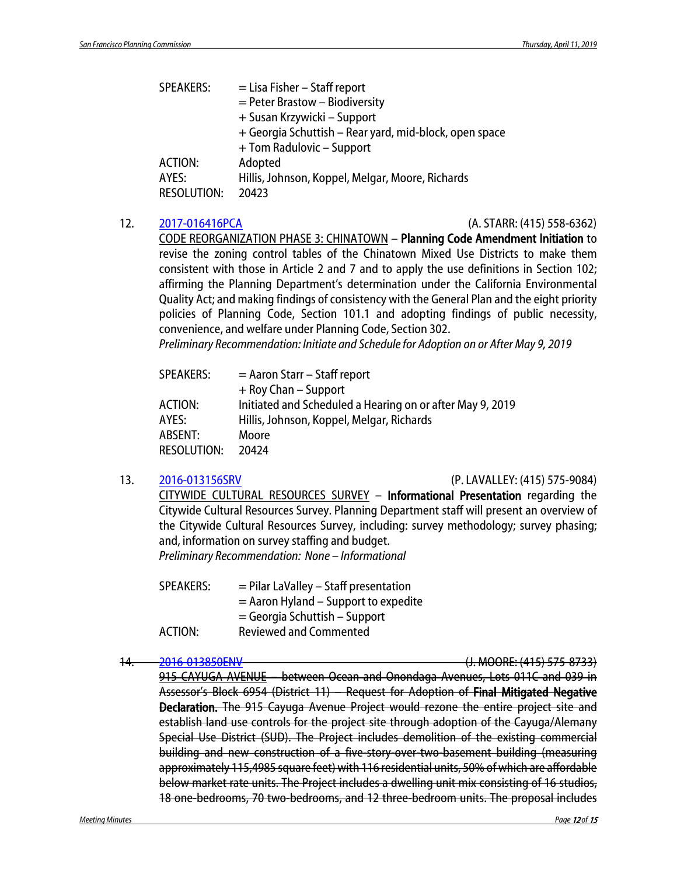| <b>SPEAKERS:</b>   | $=$ Lisa Fisher – Staff report                         |
|--------------------|--------------------------------------------------------|
|                    | $=$ Peter Brastow – Biodiversity                       |
|                    | + Susan Krzywicki – Support                            |
|                    | + Georgia Schuttish – Rear yard, mid-block, open space |
|                    | + Tom Radulovic - Support                              |
| ACTION:            | Adopted                                                |
| AYES:              | Hillis, Johnson, Koppel, Melgar, Moore, Richards       |
| <b>RESOLUTION:</b> | 20423                                                  |
|                    |                                                        |

#### 12. [2017-016416PCA](http://commissions.sfplanning.org/cpcpackets/2017-016416PCA.pdf) (A. STARR: (415) 558-6362)

CODE REORGANIZATION PHASE 3: CHINATOWN – Planning Code Amendment Initiation to revise the zoning control tables of the Chinatown Mixed Use Districts to make them consistent with those in Article 2 and 7 and to apply the use definitions in Section 102; affirming the Planning Department's determination under the California Environmental Quality Act; and making findings of consistency with the General Plan and the eight priority policies of Planning Code, Section 101.1 and adopting findings of public necessity, convenience, and welfare under Planning Code, Section 302.

*Preliminary Recommendation: Initiate and Schedule for Adoption on or After May 9, 2019*

| $=$ Aaron Starr – Staff report                            |
|-----------------------------------------------------------|
| $+$ Roy Chan – Support                                    |
| Initiated and Scheduled a Hearing on or after May 9, 2019 |
| Hillis, Johnson, Koppel, Melgar, Richards                 |
| Moore                                                     |
| 20424                                                     |
|                                                           |

#### 13. [2016-013156SRV](http://commissions.sfplanning.org/cpcpackets/2016-013156SRV.pdf) (P. LAVALLEY: (415) 575-9084)

CITYWIDE CULTURAL RESOURCES SURVEY – Informational Presentation regarding the Citywide Cultural Resources Survey. Planning Department staff will present an overview of the Citywide Cultural Resources Survey, including: survey methodology; survey phasing; and, information on survey staffing and budget. *Preliminary Recommendation: None – Informational*

| <b>SPEAKERS:</b> | $=$ Pilar LaValley – Staff presentation |
|------------------|-----------------------------------------|
|                  | $=$ Aaron Hyland – Support to expedite  |
|                  | $=$ Georgia Schuttish – Support         |
| ACTION:          | <b>Reviewed and Commented</b>           |

#### 14. [2016-013850ENV](http://commissions.sfplanning.org/cpcpackets/2016-013850ENV.pdf) (J. MOORE: (415) 575-8733)

915 CAYUGA AVENUE – between Ocean and Onondaga Avenues, Lots 011C and 039 in Assessor's Block 6954 (District 11) – Request for Adoption of Final Mitigated Negative Declaration. The 915 Cayuga Avenue Project would rezone the entire project site and establish land use controls for the project site through adoption of the Cayuga/Alemany Special Use District (SUD). The Project includes demolition of the existing commercial building and new construction of a five-story-over-two-basement building (measuring approximately 115,4985 square feet) with 116 residential units, 50% of which are affordable below market rate units. The Project includes a dwelling unit mix consisting of 16 studios, 18 one-bedrooms, 70 two-bedrooms, and 12 three-bedroom units. The proposal includes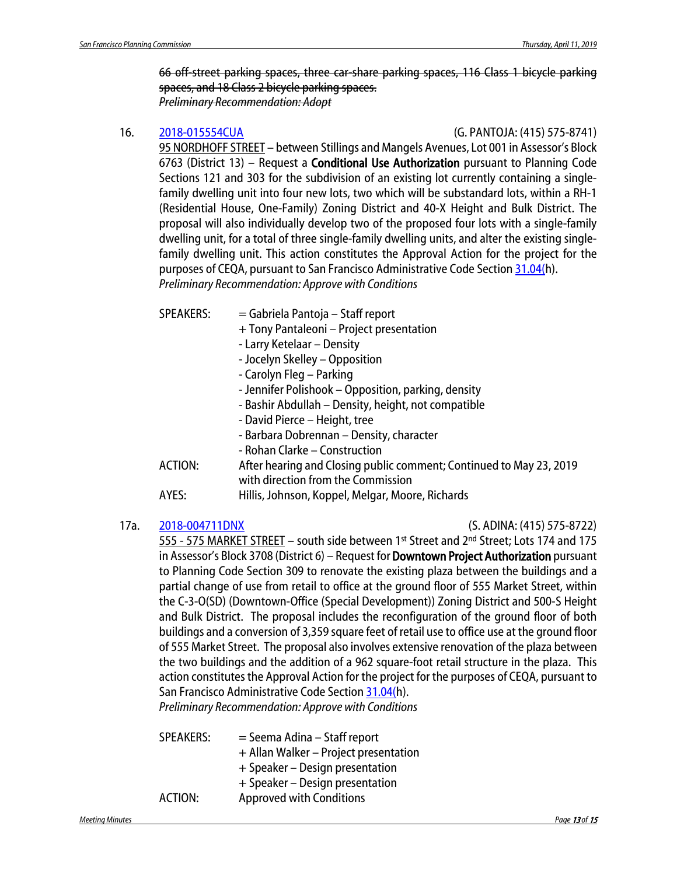66 off-street parking spaces, three car-share parking spaces, 116 Class 1 bicycle parking spaces, and 18 Class 2 bicycle parking spaces. *Preliminary Recommendation: Adopt*

#### 16. [2018-015554CUA](http://commissions.sfplanning.org/cpcpackets/2018-015554CUA.pdf) (G. PANTOJA: (415) 575-8741)

95 NORDHOFF STREET – between Stillings and Mangels Avenues, Lot 001 in Assessor's Block 6763 (District 13) – Request a Conditional Use Authorization pursuant to Planning Code Sections 121 and 303 for the subdivision of an existing lot currently containing a singlefamily dwelling unit into four new lots, two which will be substandard lots, within a RH-1 (Residential House, One-Family) Zoning District and 40-X Height and Bulk District. The proposal will also individually develop two of the proposed four lots with a single-family dwelling unit, for a total of three single-family dwelling units, and alter the existing singlefamily dwelling unit. This action constitutes the Approval Action for the project for the purposes of CEQA, pursuant to San Francisco Administrative Code Section [31.04\(h](http://library.amlegal.com/nxt/gateway.dll/California/administrative/chapter31californiaenvironmentalqualitya?f=templates$fn=default.htm$3.0$vid=amlegal:sanfrancisco_ca$anc=JD_31.04)). *Preliminary Recommendation: Approve with Conditions*

- SPEAKERS: = Gabriela Pantoja Staff report
	- + Tony Pantaleoni Project presentation
	- Larry Ketelaar Density
	- Jocelyn Skelley Opposition
	- Carolyn Fleg Parking
	- Jennifer Polishook Opposition, parking, density
	- Bashir Abdullah Density, height, not compatible
	- David Pierce Height, tree
	- Barbara Dobrennan Density, character
	- Rohan Clarke Construction
- ACTION: After hearing and Closing public comment; Continued to May 23, 2019 with direction from the Commission
- AYES: Hillis, Johnson, Koppel, Melgar, Moore, Richards

17a. [2018-004711DNX](http://commissions.sfplanning.org/cpcpackets/2018-004711DNXCUA.pdf) (S. ADINA: (415) 575-8722)

555 - 575 MARKET STREET – south side between 1st Street and 2nd Street; Lots 174 and 175 in Assessor's Block 3708 (District 6) – Request for **Downtown Project Authorization** pursuant to Planning Code Section 309 to renovate the existing plaza between the buildings and a partial change of use from retail to office at the ground floor of 555 Market Street, within the C-3-O(SD) (Downtown-Office (Special Development)) Zoning District and 500-S Height and Bulk District. The proposal includes the reconfiguration of the ground floor of both buildings and a conversion of 3,359 square feet of retail use to office use at the ground floor of 555 Market Street. The proposal also involves extensive renovation of the plaza between the two buildings and the addition of a 962 square-foot retail structure in the plaza. This action constitutes the Approval Action for the project for the purposes of CEQA, pursuant to San Francisco Administrative Code Sectio[n 31.04\(h](http://library.amlegal.com/nxt/gateway.dll/California/administrative/chapter31californiaenvironmentalqualitya?f=templates$fn=default.htm$3.0$vid=amlegal:sanfrancisco_ca$anc=JD_31.04)).

*Preliminary Recommendation: Approve with Conditions*

| <b>SPEAKERS:</b> | $=$ Seema Adina – Staff report        |
|------------------|---------------------------------------|
|                  | + Allan Walker - Project presentation |
|                  | + Speaker - Design presentation       |
|                  | + Speaker – Design presentation       |
| ACTION:          | <b>Approved with Conditions</b>       |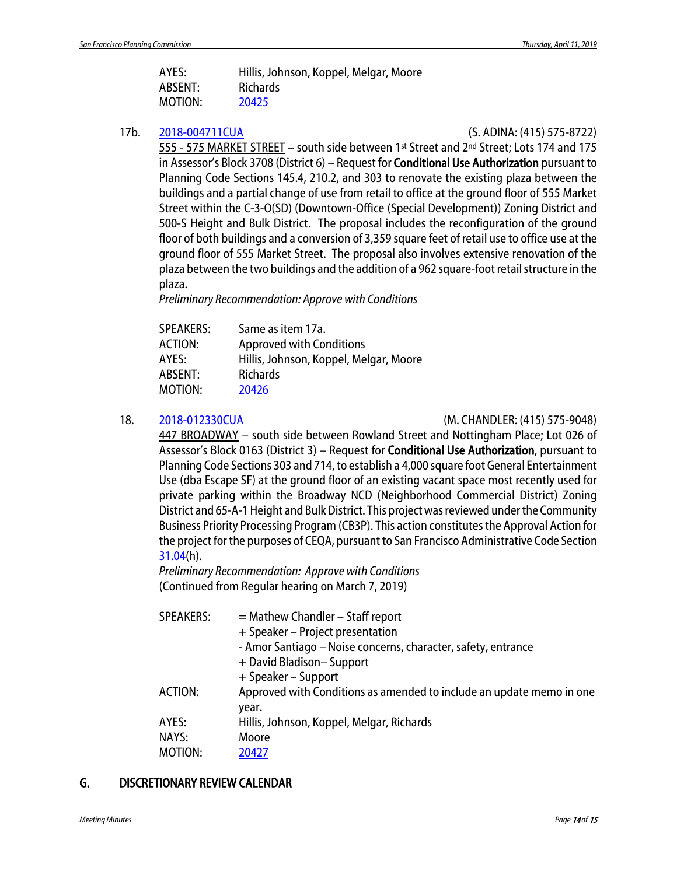| AYES:   | Hillis, Johnson, Koppel, Melgar, Moore |
|---------|----------------------------------------|
| ABSENT: | <b>Richards</b>                        |
| MOTION: | 20425                                  |

17b. [2018-004711CUA](http://commissions.sfplanning.org/cpcpackets/2018-004711DNXCUA.pdf) (S. ADINA: (415) 575-8722)

555 - 575 MARKET STREET – south side between 1st Street and 2nd Street; Lots 174 and 175 in Assessor's Block 3708 (District 6) – Request for **Conditional Use Authorization** pursuant to Planning Code Sections 145.4, 210.2, and 303 to renovate the existing plaza between the buildings and a partial change of use from retail to office at the ground floor of 555 Market Street within the C-3-O(SD) (Downtown-Office (Special Development)) Zoning District and 500-S Height and Bulk District. The proposal includes the reconfiguration of the ground floor of both buildings and a conversion of 3,359 square feet of retail use to office use at the ground floor of 555 Market Street. The proposal also involves extensive renovation of the plaza between the two buildings and the addition of a 962 square-foot retail structure in the plaza.

*Preliminary Recommendation: Approve with Conditions*

| <b>SPEAKERS:</b> | Same as item 17a.                      |
|------------------|----------------------------------------|
| <b>ACTION:</b>   | <b>Approved with Conditions</b>        |
| AYES:            | Hillis, Johnson, Koppel, Melgar, Moore |
| ABSENT:          | <b>Richards</b>                        |
| MOTION:          | 20426                                  |

18. [2018-012330CUA](http://commissions.sfplanning.org/cpcpackets/2018-012330CUAc1.pdf) (M. CHANDLER: (415) 575-9048)

447 BROADWAY – south side between Rowland Street and Nottingham Place; Lot 026 of Assessor's Block 0163 (District 3) – Request for Conditional Use Authorization, pursuant to Planning Code Sections 303 and 714, to establish a 4,000 square foot General Entertainment Use (dba Escape SF) at the ground floor of an existing vacant space most recently used for private parking within the Broadway NCD (Neighborhood Commercial District) Zoning District and 65-A-1 Height and Bulk District. This project was reviewed under the Community Business Priority Processing Program (CB3P). This action constitutes the Approval Action for the project for the purposes of CEQA, pursuant to San Francisco Administrative Code Section [31.04\(](http://library.amlegal.com/nxt/gateway.dll/California/administrative/chapter31californiaenvironmentalqualitya?f=templates$fn=default.htm$3.0$vid=amlegal:sanfrancisco_ca$anc=JD_31.04)h).

*Preliminary Recommendation: Approve with Conditions* (Continued from Regular hearing on March 7, 2019)

| <b>SPEAKERS:</b> | $=$ Mathew Chandler $-$ Staff report                                 |
|------------------|----------------------------------------------------------------------|
|                  | + Speaker – Project presentation                                     |
|                  | - Amor Santiago - Noise concerns, character, safety, entrance        |
|                  | + David Bladison-Support                                             |
|                  | + Speaker – Support                                                  |
| ACTION:          | Approved with Conditions as amended to include an update memo in one |
|                  | year.                                                                |
| AYES:            | Hillis, Johnson, Koppel, Melgar, Richards                            |
| NAYS:            | Moore                                                                |
| MOTION:          | 20427                                                                |

### G. DISCRETIONARY REVIEW CALENDAR